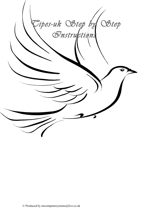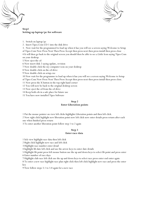



## **Step1 Setting up laptop/pc for software**

- 1. Switch on laptop/pc
- 2. Insert Tipes.Com CD 1 into the disk drive

3. Now wait for the programmed to load up when it has you will see a screen saying Welcome to Setup

of Tipes Com Now Press Next Then Press Accept then press next then press install then press close .

4 It will then go back to the original screen you should then be able to see a Little Icon saying Tipes Com on your desktop

5 Now eject the cd

6 Now insert disk 2 saying update, revision

7 Now double click the my computer icon on your desktop

8 Now double click on the cd drive

9 Now double click on setup.exe

10 Now wait for the programme to load up when it has you will see a screen saying Welcome to Setup

of Tipes Com Now Press Next Then Press Accept then press next then press install then press close.

11 Now press the X button in the top right hand corner

12 You will now be back to the original desktop screen

13 Now eject the cd from the cd drive

14 Keep both cds in a safe place for future use

15 You have now installed Tipes Software

#### **Step 2 Enter Liberation points**

1 Put the mouse pointer on view left clicks highlights Liberation points and then left click.

2 Now right click highlight new liberation point now left click now enter details press return after each one when finished press return

3 To enter another liberation point follow step 1 to 2 again

#### **Step 3 Enter race data**

1 lick view highlight race data then left click

2 Right click highlight new race and left click

3 Highlight race number enter detail

4 highlight lib date left click and use the arrow keys to enter date details

5 Highlight lib point press left mouse button use the up and down keys to select lib point and press enter 6 Enter number of race days

7 Highlight club race left click use the up and down keys to select race press enter end enter again

8 To enter a new race highlight race plan right click then left click highlight new race and press the enter key

9 Now follow steps 3.1 to 3.8 again for a new race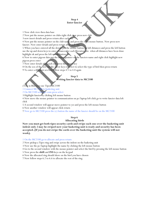#### **Step 4 Enter fancier**

1 Now click view then data base

2 Now put the mouse pointer on clubs right click now press new club

3 now insert details and press return after each one

4 Now put the mouse pointer on the club name and press the right mouse button. Now press new fancier. Now enter details and press return after each one.

5 When you have entered all the details put the mouse button on loft distances and press the left button use the up and down keys to enter distances for each liberation site when all distances have been done highlight ok and press the left mouse button.

6 Now to enter pigeon data put the mouse pointer on the fanciers name and right click highlight new pigeon press enter

7 Now enter details after each one press the return key

8 On the sex of the bird use the arrow keys to select to select the type of bird then press return

9 To enter a different sex bird follow steps 4.1 to 4.8 again

#### **Step 5 Writing fancier data to MC2100**

(Text in Blue is to use Tipes MC2100

1 Connect MC2100 to basketing unit

2 On MC2100 select pc-com press select

3 Highlight fancier by clicking left mouse button

4 Now move the mouse pointer to communication on pc/laptop left click go to write fancier data left click

5 A second window will appear move pointer to yes and press the left mouse button

6 Now another window will appear click return

7 Now go to MC2100 press the (c) button the name of the fancier should be on the MC2100

## **Step 6**

#### **Allocating birds**

**Now you must get both tipes security cards and swipe each one over the basketing unit indent only 2 may be swiped now your basketing unit is ready and security has been accepted. (If you do not swipe the cards over the basketing unit the system will not work).**

1 On the MC2100 go to allocate and press return

2 Now pickup a Tipes ring and swipe across the indent on the basketing unit

3 Now use the pc/laptop highlight the name by clicking the left mouse button

4 Go to the second window with the mouse pointer and select the bird by pressing the left mouse button

5 Now press the **shift** and **INS** keys on the keypad

6 Now the allocated ring should show on the bird you have chosen

7 Now follow steps 6.2 to 6.6 to allocate the rest of the ring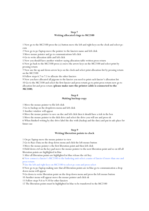#### **Step 7 Writing allocated rings to MC2100**

1 Now go to the MC2100 press the (c) button move the left and right keys on the clock and select pccom

2 Now go to pc/laptop move the pointer to the fanciers name and left click

3 Move mouse pointer and go to communications left click

4 Go to write allocation table and left click

5 Now you should have another window saying allocation table written press return

6 Now go back to the MC2100 press (c) move the arrow keys on the MC2100 and select print by pressing return

7 Now use the up and down arrow keys on the clock and select print allocation-list by pressing return on the MC2100

8 Follow steps 6.7 to 7.5 to allocate the other fanciers

9 Now you have allocated all pigeons to the fancier you need to print each fancier's allocation list 10 Go to the MC2100 and select the first fancier and press return go to print press return now go to allocation list and press return (**please make sure the printer cable is connected to the MC2100**)

#### **Step 8 Making backup copy**

1 Move the mouse pointer to file left click

2 Go to backup on the dropdown menu and left click

3 Another window will appear

4 Move the mouse pointer to save on disc and left click then it should have a tick in the box

5 Move the mouse pointer to the dick drive and select the drive you will use and press ok

6 When finished writing by disc drive label the disc with (backup and the date) and put in safe place for future use

#### **Step 9 Writing liberation points to clock**

1 On pc/laptop move the mouse pointer to view

2 Go to Race Data on the drop down menu and click the left mouse button

3 Move the mouse pointer o the first liberation point and then left click

4 Hold down ctrl on the key pad move the mouse pointer to the next liberation point and so on till all liberation points are highlighted in blue

5 After all liberation points are highlighted in blue release the ctrl key

6 Now connect a fancier's MC2100 to the basketing unit select a name of fancier if more than one and press return

7 Use the left and right keys on MC2100 to select pc-com and press select

8 Now go to pc/laptop making sure that all liberation points are in blue go to communication a drop down menu will appear

9 Go down to write liberation point on the drop down menu and press the left mouse button

10 Another menu will appear move the mouse pointer and click ok

11 Follow steps 9.6 to 9.10 for other fanciers

12 The liberation points must be highlighted in blue to be transferred to the MC2100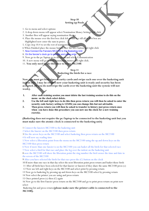## **Step 10 Setting up Pools**

- 1. Go to menu and select options
- 2. A drop down menu will appear select Nomination Money Settings Left click
- 3. Another Box will appear saying nomination Money
- 4. Place the mouse over the first box click left mouse key till all in first box are Highlighted now enter the sum in pence.
- 5. Copy step 10.4 to set the rest of nominations.
- 6 When Finished place the mouse button over the save button and right click
- 7. Now Connect the Fanciers MC2100 to the Basketing Unit
- 8. On the fancier's clock go to pc/com and press enter
- 9. Now go to the pc/laptop go to the menu and select Communication
- 10. A new menu will go to send nomination money and right click.
- 11. **You only need to do this once to every MC2100**.

## **Step 11**

#### **Basketing the birds for a race**

**Now you must get both tipes security cards and swipe each one over the basketing unit indent only 2 may be swiped now your basketing unit is ready and security has been accepted. (If you do not swipe the cards over the basketing unit the system will not work).**

- **1. After each training session you must delete the last training session to do this on the menu on the clock select delete.**
- **2. Use the left and right keys to do this then press return you will then be asked to enter the security code factory setting is 123456 you can change this but not advisable.**
- **3. Then press return you will then be asked to transfer to history just press return once when you have done this procedure you can now use the clock for a new training exercise.**

#### **(Basketing does not require the pc/laptop to be connected to the basketing unit but you must make sure the atomic clock is connected to the basketing unit)**

1 Connect the fanciers MC2100 to the basketing unit

2 Select the fancier on the MC2100 then press return

3 Use the arrow keys on the MC2100 and select basketing then press return on the MC2100

4 It will now say reading time

5 Now select a liberation point from the menu on the MC2100 using the up and down keys on the MC2100 then press return

6 Now if more than one fancier is on the MC2100 you can basket all the birds for that selected race 7 Now select a bird for that race and place the leg over the indent on the basketing unit

8 now the MC2100 will show the liberation point the ring number the bird owner the time and date in the screen of the MC2100

9 After you have selected the birds for that race press the (C) button on the clock

10 If more than one race in that day select the next liberation point press return and basket those birds

 11 After all birds have been selected for that fancier or fanciers if they share the same MC2100 press (c) 12 Now use left and right keys on the MC2100 and select print by pressing return

13 Now go to basketing by pressing up and down keys on the MC2100 select by pressing return

14 Now select the printer you are using and press return

15 Once printed press (c) then (C) again

16 Now go to the first Fancier press return on the MC2100 and go to print press return on print now select

 Basketing list and press return **(please make sure the printer cable is connected to the MC2100).**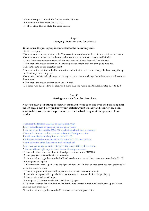17 Now do step 11.16 to all the fanciers on the MC2100

18 Now you can disconnect the MC2100

19 Follow steps 11.1 to 11.12 for other fanciers

#### **Step 12 Changing liberation time for the race**

#### **(Make sure the pc/laptop is connected to the basketing unit)**

1 Switch on laptop

2 Now move the mouse pointer to the Tipes com icon and then double click on the left mouse button

3 Now move the mouse icon to the square button in the top left hand corner and left click

4 Move the mouse pointer to view and left click now select race data and then left click

5 Now move the mouse pointer to a liberation point and right click and then go to race data

6 Check the data on the liberation point

7 Now move the pointer to the liberation time and left click on the hour change the hour using the up and down keys on the key pad

8 Now using the left and right keys on the key pad go to minutes change them if necessary and so on for the minutes

9 Now move the mouse pointer to ok and left click

10 If other race data needs to be changed if more than one race in one then follow step 12.4 to 12.9

#### **Step 13**

#### **Getting race data from fanciers clock**

**Now you must get both tipes security cards and swipe each one over the basketing unit indent only 2 may be swiped now your basketing unit is ready and security has been accepted. (If you do not swipe the cards over the basketing unit the system will not work).**

1 Connect the fanciers MC2100 to the basketing unit

2 Now select fancier on the MC2100 and press return

3 Use the arrow keys on the MC2100 to select knock-off then press enter

4 Now select the race point you want to knock off and press enter

5 It will now display reading time on the MC2100

6 If there is more than one fancier on the same MC2100 then press (c)

7 Now select the other fancier you wish to knock off

8 Now use the up and down keys to select the fancier followed by return

9 Use the left and right keys to select knock-off and press return

10 Now select his or her race knock off and press return on the MC2100

12 Now you have selected fancier press return

13 Use the left and right keys on the MC2100 to select pc-com and then press return on the MC2100

14 Now go to pc/laptop

15 Now move the mouse pointer to the right window and left click on race point you have just knocked off on the fancier's clock

16 Now a drop down window will appear select read data from control units

- 17 Now the pc/laptop will copy the information from the atomic clock to the pc/laptop
- 18 Now a new window will appear
- 19 Now press (C) button on the MC2100 then (C) again

20 Select another fancier from that MC2100 if he was entered in that race by using the up and down keys and then press enter

21 Use the left and right keys on the M to select pc-com and press enter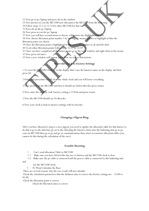22 Now go to pc/laptop and press ok on the window

- 23 Now presses (C) on the MC2100 now disconnect the MC2100 from the basketing
- 24 Follow steps 13.1 to 13.23 for other MC2100 for that race
- 25 Press ok on the pc/laptop
- 26 Now press set on the pc/laptop
- 27 Now you will have second menu to choose a liberation site (highlighted in red)

28 Now choose liberation point number 1 by moving the mouse pointer to highlight in blue the liberation point you choose

- 29 Once the liberation point is highlighted in blue move the pointer to ok and left click
- 30 To do other liberation points follow steps 13.27 to 13.29
- 31 Once you have completed all liberation points go to the right window and right click on the mouse
- 32 Now press ctrl and c
- 33 Now a new window will appear just follow on screen instructions

# **Reset the Clock to Factory Settings**

1 To reset the MC2100 Clock go to the display that's says the fanciers name on the display and then press (0)

2 Doing this procedure it will clear the whole clock and you will loose everything.

press 0 on the MC2100 and then it should say Delete Breeder press return

4 Now enter the security code Factory setting is 123456 and press return

5 Now the MC2100 should say No Breeder

6 Now your clock is back to factory settings with no breeder.

#### **Changing a Pigeon Ring**

After you have allocated a ring to a new pigeon you need to update the allocation table for that fancier to do that is go to the data base go on to the club plug the fanciers clock onto the basketing unit go to pccom on MC2100 then go to pc and go to communications then select reconstruct allocation table (you cannot do this during the calculation of the race).

#### **Trouble Shooting**

- 1 Can't send allocation Table to MC2100
- 1.1 Make sure you have deleted the last race to history and the MC2100 clock is clear
- 1.2 Make sure the pc cable is connected and the power cable is connected to the basketing unit

and

not the MC2100 clock.

- 2 Pc Wont Calculate the Race
- There are several reasons why the race result will not calculate

 Check the calculation parameters that the darkness time is correct the factory settings are 23.00 to 05.00

Check the liberation point is correct

Check the liberation time is correct